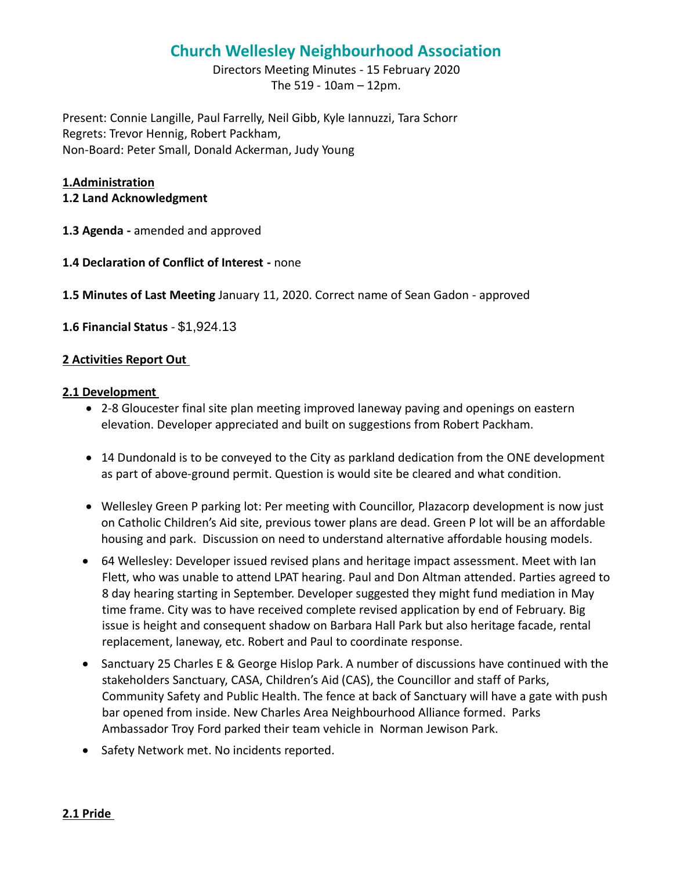# **Church Wellesley Neighbourhood Association**

Directors Meeting Minutes - 15 February 2020 The 519 - 10am – 12pm.

Present: Connie Langille, Paul Farrelly, Neil Gibb, Kyle Iannuzzi, Tara Schorr Regrets: Trevor Hennig, Robert Packham, Non-Board: Peter Small, Donald Ackerman, Judy Young

#### **1.Administration**

#### **1.2 Land Acknowledgment**

- **1.3 Agenda -** amended and approved
- **1.4 Declaration of Conflict of Interest -** none

**1.5 Minutes of Last Meeting** January 11, 2020. Correct name of Sean Gadon - approved

**1.6 Financial Status** - \$1,924.13

#### **2 Activities Report Out**

#### 2.1 Development

- 2-8 Gloucester final site plan meeting improved laneway paving and openings on eastern elevation. Developer appreciated and built on suggestions from Robert Packham.
- 14 Dundonald is to be conveyed to the City as parkland dedication from the ONE development as part of above-ground permit. Question is would site be cleared and what condition.
- Wellesley Green P parking lot: Per meeting with Councillor, Plazacorp development is now just on Catholic Children's Aid site, previous tower plans are dead. Green P lot will be an affordable housing and park. Discussion on need to understand alternative affordable housing models.
- 64 Wellesley: Developer issued revised plans and heritage impact assessment. Meet with Ian Flett, who was unable to attend LPAT hearing. Paul and Don Altman attended. Parties agreed to 8 day hearing starting in September. Developer suggested they might fund mediation in May time frame. City was to have received complete revised application by end of February. Big issue is height and consequent shadow on Barbara Hall Park but also heritage facade, rental replacement, laneway, etc. Robert and Paul to coordinate response.
- Sanctuary 25 Charles E & George Hislop Park. A number of discussions have continued with the stakeholders Sanctuary, CASA, Children's Aid (CAS), the Councillor and staff of Parks, Community Safety and Public Health. The fence at back of Sanctuary will have a gate with push bar opened from inside. New Charles Area Neighbourhood Alliance formed. Parks Ambassador Troy Ford parked their team vehicle in Norman Jewison Park.
- Safety Network met. No incidents reported.